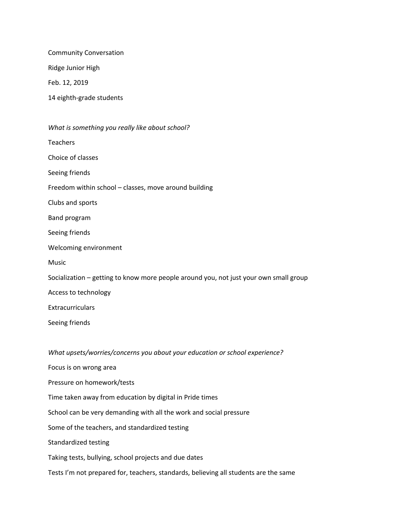Community Conversation

Ridge Junior High

Feb. 12, 2019

14 eighth-grade students

| What is something you really like about school?                                       |
|---------------------------------------------------------------------------------------|
| <b>Teachers</b>                                                                       |
| Choice of classes                                                                     |
| Seeing friends                                                                        |
| Freedom within school - classes, move around building                                 |
| Clubs and sports                                                                      |
| Band program                                                                          |
| Seeing friends                                                                        |
| Welcoming environment                                                                 |
| Music                                                                                 |
| Socialization - getting to know more people around you, not just your own small group |
| Access to technology                                                                  |
| Extracurriculars                                                                      |
| Seeing friends                                                                        |
|                                                                                       |
| What upsets/worries/concerns you about your education or school experience?           |
| Focus is on wrong area                                                                |
| Pressure on homework/tests                                                            |
| Time taken away from education by digital in Pride times                              |

School can be very demanding with all the work and social pressure

Some of the teachers, and standardized testing

Standardized testing

Taking tests, bullying, school projects and due dates

Tests I'm not prepared for, teachers, standards, believing all students are the same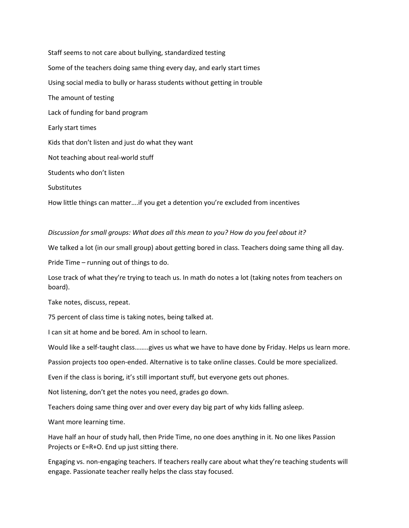Staff seems to not care about bullying, standardized testing Some of the teachers doing same thing every day, and early start times Using social media to bully or harass students without getting in trouble The amount of testing Lack of funding for band program Early start times Kids that don't listen and just do what they want Not teaching about real-world stuff Students who don't listen **Substitutes** How little things can matter….if you get a detention you're excluded from incentives

*Discussion for small groups: What does all this mean to you? How do you feel about it?*

We talked a lot (in our small group) about getting bored in class. Teachers doing same thing all day.

Pride Time – running out of things to do.

Lose track of what they're trying to teach us. In math do notes a lot (taking notes from teachers on board).

Take notes, discuss, repeat.

75 percent of class time is taking notes, being talked at.

I can sit at home and be bored. Am in school to learn.

Would like a self-taught class……..gives us what we have to have done by Friday. Helps us learn more.

Passion projects too open-ended. Alternative is to take online classes. Could be more specialized.

Even if the class is boring, it's still important stuff, but everyone gets out phones.

Not listening, don't get the notes you need, grades go down.

Teachers doing same thing over and over every day big part of why kids falling asleep.

Want more learning time.

Have half an hour of study hall, then Pride Time, no one does anything in it. No one likes Passion Projects or E=R+O. End up just sitting there.

Engaging vs. non-engaging teachers. If teachers really care about what they're teaching students will engage. Passionate teacher really helps the class stay focused.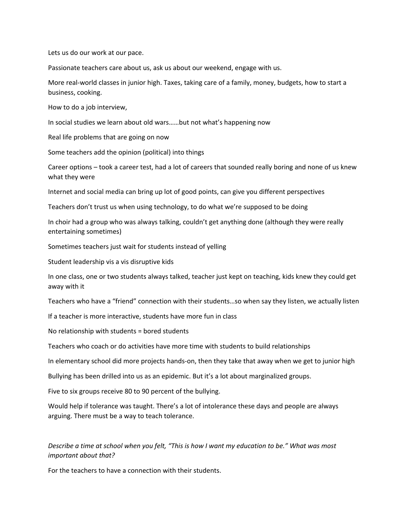Lets us do our work at our pace.

Passionate teachers care about us, ask us about our weekend, engage with us.

More real-world classes in junior high. Taxes, taking care of a family, money, budgets, how to start a business, cooking.

How to do a job interview,

In social studies we learn about old wars……but not what's happening now

Real life problems that are going on now

Some teachers add the opinion (political) into things

Career options – took a career test, had a lot of careers that sounded really boring and none of us knew what they were

Internet and social media can bring up lot of good points, can give you different perspectives

Teachers don't trust us when using technology, to do what we're supposed to be doing

In choir had a group who was always talking, couldn't get anything done (although they were really entertaining sometimes)

Sometimes teachers just wait for students instead of yelling

Student leadership vis a vis disruptive kids

In one class, one or two students always talked, teacher just kept on teaching, kids knew they could get away with it

Teachers who have a "friend" connection with their students…so when say they listen, we actually listen

If a teacher is more interactive, students have more fun in class

No relationship with students = bored students

Teachers who coach or do activities have more time with students to build relationships

In elementary school did more projects hands-on, then they take that away when we get to junior high

Bullying has been drilled into us as an epidemic. But it's a lot about marginalized groups.

Five to six groups receive 80 to 90 percent of the bullying.

Would help if tolerance was taught. There's a lot of intolerance these days and people are always arguing. There must be a way to teach tolerance.

*Describe a time at school when you felt, "This is how I want my education to be." What was most important about that?*

For the teachers to have a connection with their students.